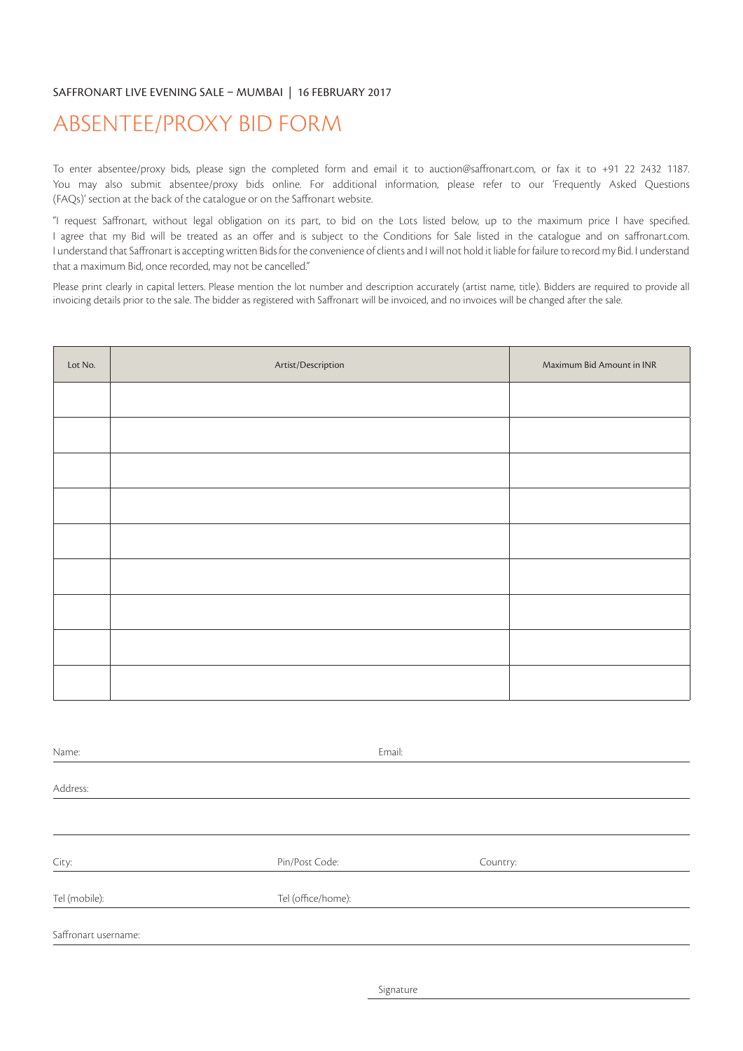## SAFFRONART LIVE EVENING SALE – MUMBAI | 16 FEBRUARY 2017

## ABSENTEE/PROXY BID FORM

To enter absentee/proxy bids, please sign the completed form and email it to auction@saffronart.com, or fax it to +91 22 2432 1187. You may also submit absentee/proxy bids online. For additional information, please refer to our 'Frequently Asked Questions (FAQs)' section at the back of the catalogue or on the Saffronart website.

"I request Saffronart, without legal obligation on its part, to bid on the Lots listed below, up to the maximum price I have specified. I agree that my Bid will be treated as an offer and is subject to the Conditions for Sale listed in the catalogue and on saffronart.com. I understand that Saffronart is accepting written Bids for the convenience of clients and I will not hold it liable for failure to record my Bid. I understand that a maximum Bid, once recorded, may not be cancelled."

Please print clearly in capital letters. Please mention the lot number and description accurately (artist name, title). Bidders are required to provide all invoicing details prior to the sale. The bidder as registered with Saffronart will be invoiced, and no invoices will be changed after the sale.

| Lot No. | Artist/Description | Maximum Bid Amount in INR |
|---------|--------------------|---------------------------|
|         |                    |                           |
|         |                    |                           |
|         |                    |                           |
|         |                    |                           |
|         |                    |                           |
|         |                    |                           |
|         |                    |                           |
|         |                    |                           |
|         |                    |                           |

| Name:                | Email:             |          |
|----------------------|--------------------|----------|
|                      |                    |          |
| Address:             |                    |          |
|                      |                    |          |
|                      |                    |          |
|                      |                    |          |
| City:                | Pin/Post Code:     | Country: |
| Tel (mobile):        | Tel (office/home): |          |
|                      |                    |          |
| Saffronart username: |                    |          |
|                      |                    |          |